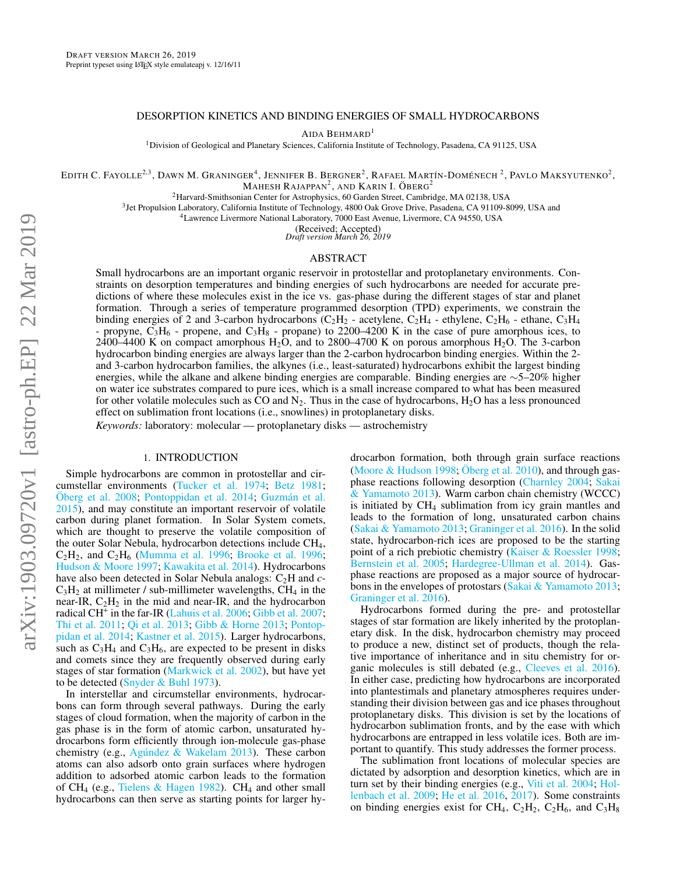# DESORPTION KINETICS AND BINDING ENERGIES OF SMALL HYDROCARBONS

AIDA BEHMARD<sup>1</sup>

<sup>1</sup>Division of Geological and Planetary Sciences, California Institute of Technology, Pasadena, CA 91125, USA

EDITH C. FAYOLLE<sup>2,3</sup>, DAWN M. GRANINGER<sup>4</sup>, JENNIFER B. BERGNER<sup>2</sup>, RAFAEL MARTÍN-DOMÉNECH <sup>2</sup>, PAVLO MAKSYUTENKO<sup>2</sup>, Mahesh Rajappan $^2$ , and Karin I. Öberg $^2$ 

<sup>2</sup>Harvard-Smithsonian Center for Astrophysics, 60 Garden Street, Cambridge, MA 02138, USA

<sup>3</sup> Jet Propulsion Laboratory, California Institute of Technology, 4800 Oak Grove Drive, Pasadena, CA 91109-8099, USA and

<sup>4</sup>Lawrence Livermore National Laboratory, 7000 East Avenue, Livermore, CA 94550, USA

(Received; Accepted) *Draft version March 26, 2019*

## ABSTRACT

Small hydrocarbons are an important organic reservoir in protostellar and protoplanetary environments. Constraints on desorption temperatures and binding energies of such hydrocarbons are needed for accurate predictions of where these molecules exist in the ice vs. gas-phase during the different stages of star and planet formation. Through a series of temperature programmed desorption (TPD) experiments, we constrain the binding energies of 2 and 3-carbon hydrocarbons (C<sub>2</sub>H<sub>2</sub> - acetylene, C<sub>2</sub>H<sub>4</sub> - ethylene, C<sub>2</sub>H<sub>6</sub> - ethane, C<sub>3</sub>H<sub>4</sub> propyne,  $C_3H_6$  - propene, and  $C_3H_8$  - propane) to 2200–4200 K in the case of pure amorphous ices, to 2400–4400 K on compact amorphous  $H_2O$ , and to 2800–4700 K on porous amorphous  $H_2O$ . The 3-carbon hydrocarbon binding energies are always larger than the 2-carbon hydrocarbon binding energies. Within the 2 and 3-carbon hydrocarbon families, the alkynes (i.e., least-saturated) hydrocarbons exhibit the largest binding energies, while the alkane and alkene binding energies are comparable. Binding energies are ∼5–20% higher on water ice substrates compared to pure ices, which is a small increase compared to what has been measured for other volatile molecules such as  $CO$  and  $N_2$ . Thus in the case of hydrocarbons,  $H_2O$  has a less pronounced effect on sublimation front locations (i.e., snowlines) in protoplanetary disks.

*Keywords:* laboratory: molecular — protoplanetary disks — astrochemistry

## 1. INTRODUCTION

Simple hydrocarbons are common in protostellar and circumstellar environments [\(Tucker et al.](#page-10-0) [1974;](#page-10-0) [Betz](#page-9-0) [1981;](#page-9-0) [Öberg et al.](#page-9-1) [2008;](#page-9-1) [Pontoppidan et al.](#page-9-2) [2014;](#page-9-2) [Guzmán et al.](#page-9-3) [2015\)](#page-9-3), and may constitute an important reservoir of volatile carbon during planet formation. In Solar System comets, which are thought to preserve the volatile composition of the outer Solar Nebula, hydrocarbon detections include CH4,  $C_2H_2$ , and  $C_2H_6$  [\(Mumma et al.](#page-9-4) [1996;](#page-9-5) [Brooke et al.](#page-9-5) 1996; [Hudson & Moore](#page-9-6) [1997;](#page-9-6) [Kawakita et al.](#page-9-7) [2014\)](#page-9-7). Hydrocarbons have also been detected in Solar Nebula analogs: C<sub>2</sub>H and *c*- $C_3H_2$  at millimeter / sub-millimeter wavelengths,  $CH_4$  in the near-IR,  $C_2H_2$  in the mid and near-IR, and the hydrocarbon radical CH<sup>+</sup> in the far-IR [\(Lahuis et al.](#page-9-8) [2006;](#page-9-8) [Gibb et al.](#page-9-9) [2007;](#page-9-9) [Thi et al.](#page-10-1) [2011;](#page-10-1) [Qi et al.](#page-9-10) [2013;](#page-9-10) [Gibb & Horne](#page-9-11) [2013;](#page-9-11) [Pontop](#page-9-2)[pidan et al.](#page-9-2) [2014;](#page-9-2) [Kastner et al.](#page-9-12) [2015\)](#page-9-12). Larger hydrocarbons, such as  $C_3H_4$  and  $C_3H_6$ , are expected to be present in disks and comets since they are frequently observed during early stages of star formation [\(Markwick et al.](#page-9-13) [2002\)](#page-9-13), but have yet to be detected [\(Snyder & Buhl](#page-10-2) [1973\)](#page-10-2).

In interstellar and circumstellar environments, hydrocarbons can form through several pathways. During the early stages of cloud formation, when the majority of carbon in the gas phase is in the form of atomic carbon, unsaturated hydrocarbons form efficiently through ion-molecule gas-phase chemistry (e.g., [Agúndez & Wakelam](#page-9-14) [2013\)](#page-9-14). These carbon atoms can also adsorb onto grain surfaces where hydrogen addition to adsorbed atomic carbon leads to the formation of CH<sub>4</sub> (e.g., [Tielens & Hagen](#page-10-3) [1982\)](#page-10-3). CH<sub>4</sub> and other small hydrocarbons can then serve as starting points for larger hy-

drocarbon formation, both through grain surface reactions [\(Moore & Hudson](#page-9-15) [1998;](#page-9-15) [Öberg et al.](#page-9-16) [2010\)](#page-9-16), and through gasphase reactions following desorption [\(Charnley](#page-9-17) [2004;](#page-9-17) [Sakai](#page-10-4) [& Yamamoto](#page-10-4) [2013\)](#page-10-4). Warm carbon chain chemistry (WCCC) is initiated by  $CH<sub>4</sub>$  sublimation from icy grain mantles and leads to the formation of long, unsaturated carbon chains [\(Sakai & Yamamoto](#page-10-4) [2013;](#page-10-4) [Graninger et al.](#page-9-18) [2016\)](#page-9-18). In the solid state, hydrocarbon-rich ices are proposed to be the starting point of a rich prebiotic chemistry [\(Kaiser & Roessler](#page-9-19) [1998;](#page-9-19) [Bernstein et al.](#page-9-20) [2005;](#page-9-20) [Hardegree-Ullman et al.](#page-9-21) [2014\)](#page-9-21). Gasphase reactions are proposed as a major source of hydrocar-bons in the envelopes of protostars [\(Sakai & Yamamoto](#page-10-4) [2013;](#page-10-4) [Graninger et al.](#page-9-18) [2016\)](#page-9-18).

Hydrocarbons formed during the pre- and protostellar stages of star formation are likely inherited by the protoplanetary disk. In the disk, hydrocarbon chemistry may proceed to produce a new, distinct set of products, though the relative importance of inheritance and in situ chemistry for organic molecules is still debated (e.g., [Cleeves et al.](#page-9-22) [2016\)](#page-9-22). In either case, predicting how hydrocarbons are incorporated into plantestimals and planetary atmospheres requires understanding their division between gas and ice phases throughout protoplanetary disks. This division is set by the locations of hydrocarbon sublimation fronts, and by the ease with which hydrocarbons are entrapped in less volatile ices. Both are important to quantify. This study addresses the former process.

The sublimation front locations of molecular species are dictated by adsorption and desorption kinetics, which are in turn set by their binding energies (e.g., [Viti et al.](#page-10-5) [2004;](#page-10-5) [Hol](#page-9-23)[lenbach et al.](#page-9-23) [2009;](#page-9-23) [He et al.](#page-9-24) [2016,](#page-9-24) [2017\)](#page-9-25). Some constraints on binding energies exist for CH<sub>4</sub>, C<sub>2</sub>H<sub>2</sub>, C<sub>2</sub>H<sub>6</sub>, and C<sub>3</sub>H<sub>8</sub>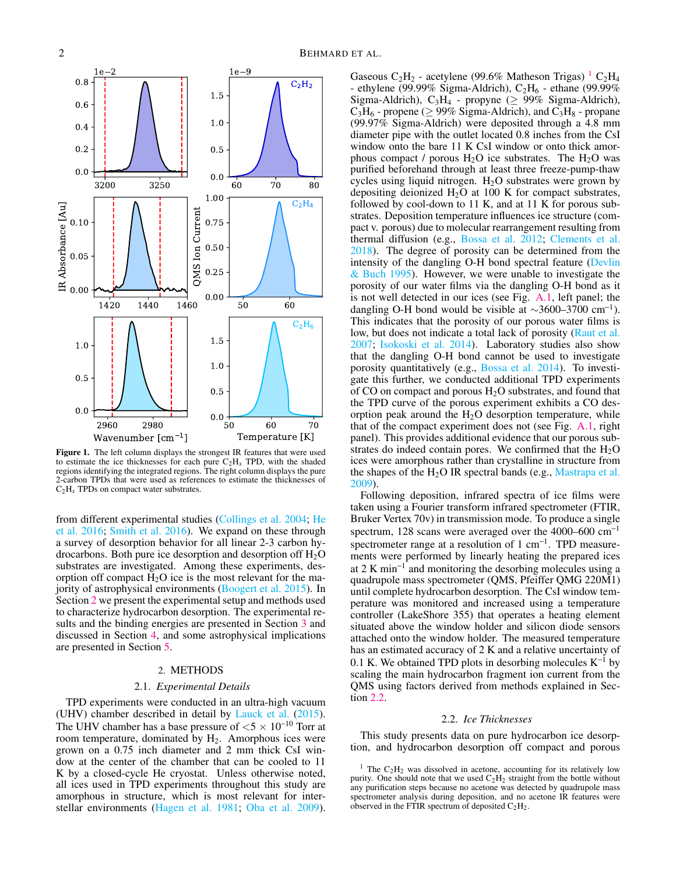

<span id="page-1-3"></span>Figure 1. The left column displays the strongest IR features that were used to estimate the ice thicknesses for each pure  $C_2H_x$  TPD, with the shaded regions identifying the integrated regions. The right column displays the pure 2-carbon TPDs that were used as references to estimate the thicknesses of  $C_2H_x$  TPDs on compact water substrates.

from different experimental studies [\(Collings et al.](#page-9-26) [2004;](#page-9-26) [He](#page-9-24) [et al.](#page-9-24) [2016;](#page-9-24) [Smith et al.](#page-10-6) [2016\)](#page-10-6). We expand on these through a survey of desorption behavior for all linear 2-3 carbon hydrocarbons. Both pure ice desorption and desorption off  $H_2O$ substrates are investigated. Among these experiments, desorption off compact  $H_2O$  ice is the most relevant for the majority of astrophysical environments [\(Boogert et al.](#page-9-27) [2015\)](#page-9-27). In Section [2](#page-1-0) we present the experimental setup and methods used to characterize hydrocarbon desorption. The experimental results and the binding energies are presented in Section [3](#page-3-0) and discussed in Section [4,](#page-5-0) and some astrophysical implications are presented in Section [5.](#page-7-0)

# 2. METHODS

### 2.1. *Experimental Details*

<span id="page-1-0"></span>TPD experiments were conducted in an ultra-high vacuum (UHV) chamber described in detail by [Lauck et al.](#page-9-28) [\(2015\)](#page-9-28). The UHV chamber has a base pressure of  $< 5 \times 10^{-10}$  Torr at room temperature, dominated by  $H_2$ . Amorphous ices were grown on a 0.75 inch diameter and 2 mm thick CsI window at the center of the chamber that can be cooled to 11 K by a closed-cycle He cryostat. Unless otherwise noted, all ices used in TPD experiments throughout this study are amorphous in structure, which is most relevant for interstellar environments [\(Hagen et al.](#page-9-29) [1981;](#page-9-29) [Oba et al.](#page-9-30) [2009\)](#page-9-30).

Gaseous C<sub>2</sub>H<sub>2</sub> - acetylene (99.6% Matheson Trigas)  $^{1}$  $^{1}$  $^{1}$  C<sub>2</sub>H<sub>4</sub> - ethylene (99.99% Sigma-Aldrich),  $C_2H_6$  - ethane (99.99% Sigma-Aldrich), C<sub>3</sub>H<sub>4</sub> - propyne ( $\geq$  99% Sigma-Aldrich),  $C_3H_6$  - propene ( $\geq$  99% Sigma-Aldrich), and  $C_3H_8$  - propane (99.97% Sigma-Aldrich) were deposited through a 4.8 mm diameter pipe with the outlet located 0.8 inches from the CsI window onto the bare 11 K CsI window or onto thick amorphous compact / porous  $H_2O$  ice substrates. The  $H_2O$  was purified beforehand through at least three freeze-pump-thaw cycles using liquid nitrogen.  $H_2O$  substrates were grown by depositing deionized  $H_2O$  at 100 K for compact substrates, followed by cool-down to 11 K, and at 11 K for porous substrates. Deposition temperature influences ice structure (compact v. porous) due to molecular rearrangement resulting from thermal diffusion (e.g., [Bossa et al.](#page-9-31) [2012;](#page-9-31) [Clements et al.](#page-9-32) [2018\)](#page-9-32). The degree of porosity can be determined from the intensity of the dangling O-H bond spectral feature [\(Devlin](#page-9-33) [& Buch](#page-9-33) [1995\)](#page-9-33). However, we were unable to investigate the porosity of our water films via the dangling O-H bond as it is not well detected in our ices (see Fig. [A.1,](#page-10-7) left panel; the dangling O-H bond would be visible at  $\sim$ 3600–3700 cm<sup>-1</sup>). This indicates that the porosity of our porous water films is low, but does not indicate a total lack of porosity [\(Raut et al.](#page-10-8) [2007;](#page-10-8) [Isokoski et al.](#page-9-34) [2014\)](#page-9-34). Laboratory studies also show that the dangling O-H bond cannot be used to investigate porosity quantitatively (e.g., [Bossa et al.](#page-9-35) [2014\)](#page-9-35). To investigate this further, we conducted additional TPD experiments of CO on compact and porous  $H_2O$  substrates, and found that the TPD curve of the porous experiment exhibits a CO desorption peak around the  $H<sub>2</sub>O$  desorption temperature, while that of the compact experiment does not (see Fig. [A.1,](#page-10-7) right panel). This provides additional evidence that our porous substrates do indeed contain pores. We confirmed that the  $H_2O$ ices were amorphous rather than crystalline in structure from the shapes of the  $H_2O$  IR spectral bands (e.g., [Mastrapa et al.](#page-9-36) [2009\)](#page-9-36).

Following deposition, infrared spectra of ice films were taken using a Fourier transform infrared spectrometer (FTIR, Bruker Vertex 70v) in transmission mode. To produce a single spectrum, 128 scans were averaged over the 4000–600 cm<sup>−</sup><sup>1</sup> spectrometer range at a resolution of  $1 \text{ cm}^{-1}$ . TPD measurements were performed by linearly heating the prepared ices at 2 K min<sup>−</sup><sup>1</sup> and monitoring the desorbing molecules using a quadrupole mass spectrometer (QMS, Pfeiffer QMG 220M1) until complete hydrocarbon desorption. The CsI window temperature was monitored and increased using a temperature controller (LakeShore 355) that operates a heating element situated above the window holder and silicon diode sensors attached onto the window holder. The measured temperature has an estimated accuracy of 2 K and a relative uncertainty of 0.1 K. We obtained TPD plots in desorbing molecules  $K^{-1}$  by scaling the main hydrocarbon fragment ion current from the QMS using factors derived from methods explained in Section [2.2.](#page-1-2)

### 2.2. *Ice Thicknesses*

<span id="page-1-2"></span>This study presents data on pure hydrocarbon ice desorption, and hydrocarbon desorption off compact and porous

<span id="page-1-1"></span><sup>&</sup>lt;sup>1</sup> The  $C_2H_2$  was dissolved in acetone, accounting for its relatively low purity. One should note that we used  $C_2H_2$  straight from the bottle without any purification steps because no acetone was detected by quadrupole mass spectrometer analysis during deposition, and no acetone IR features were observed in the FTIR spectrum of deposited  $C_2H_2$ .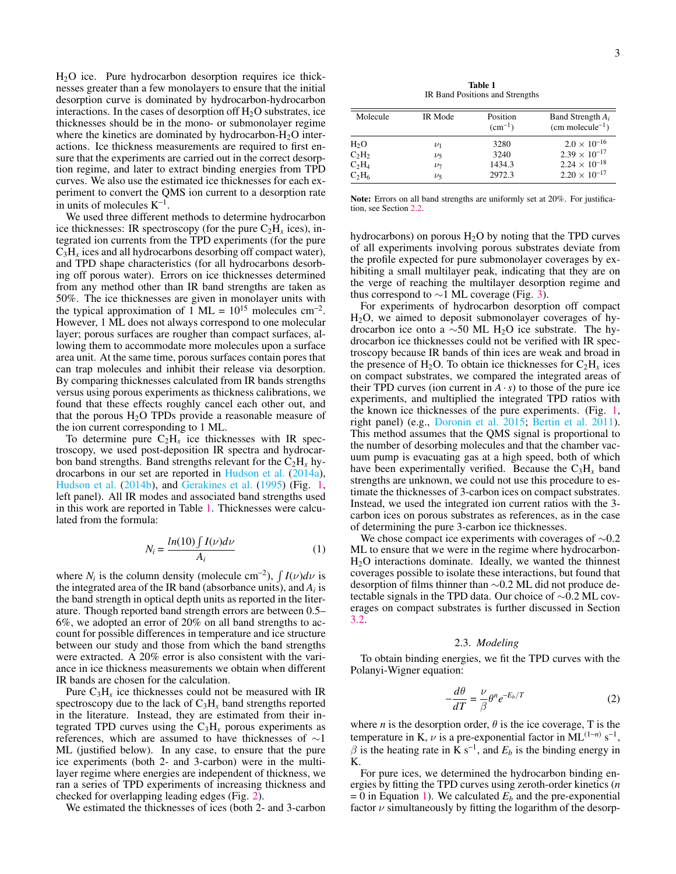$H<sub>2</sub>O$  ice. Pure hydrocarbon desorption requires ice thicknesses greater than a few monolayers to ensure that the initial desorption curve is dominated by hydrocarbon-hydrocarbon interactions. In the cases of desorption of  $H_2O$  substrates, ice thicknesses should be in the mono- or submonolayer regime where the kinetics are dominated by hydrocarbon- $H_2O$  interactions. Ice thickness measurements are required to first ensure that the experiments are carried out in the correct desorption regime, and later to extract binding energies from TPD curves. We also use the estimated ice thicknesses for each experiment to convert the QMS ion current to a desorption rate in units of molecules  $K^{-1}$ .

We used three different methods to determine hydrocarbon ice thicknesses: IR spectroscopy (for the pure  $C_2H_x$  ices), integrated ion currents from the TPD experiments (for the pure  $C_3H_x$  ices and all hydrocarbons desorbing off compact water), and TPD shape characteristics (for all hydrocarbons desorbing off porous water). Errors on ice thicknesses determined from any method other than IR band strengths are taken as 50%. The ice thicknesses are given in monolayer units with the typical approximation of 1 ML =  $10^{15}$  molecules cm<sup>-2</sup>. However, 1 ML does not always correspond to one molecular layer; porous surfaces are rougher than compact surfaces, allowing them to accommodate more molecules upon a surface area unit. At the same time, porous surfaces contain pores that can trap molecules and inhibit their release via desorption. By comparing thicknesses calculated from IR bands strengths versus using porous experiments as thickness calibrations, we found that these effects roughly cancel each other out, and that the porous  $H_2O$  TPDs provide a reasonable measure of the ion current corresponding to 1 ML.

To determine pure  $C_2H_x$  ice thicknesses with IR spectroscopy, we used post-deposition IR spectra and hydrocarbon band strengths. Band strengths relevant for the  $C_2H_x$  hydrocarbons in our set are reported in [Hudson et al.](#page-9-37) [\(2014a\)](#page-9-37), [Hudson et al.](#page-9-38) [\(2014b\)](#page-9-38), and [Gerakines et al.](#page-9-39) [\(1995\)](#page-9-39) (Fig. [1,](#page-1-3) left panel). All IR modes and associated band strengths used in this work are reported in Table [1.](#page-2-0) Thicknesses were calculated from the formula:

$$
N_i = \frac{\ln(10) \int I(\nu) d\nu}{A_i} \tag{1}
$$

<span id="page-2-1"></span>where  $N_i$  is the column density (molecule cm<sup>-2</sup>),  $\int I(\nu) d\nu$  is the integrated area of the IR band (absorbance units), and  $A_i$  is the band strength in optical depth units as reported in the literature. Though reported band strength errors are between 0.5– 6%, we adopted an error of 20% on all band strengths to account for possible differences in temperature and ice structure between our study and those from which the band strengths were extracted. A 20% error is also consistent with the variance in ice thickness measurements we obtain when different IR bands are chosen for the calculation.

Pure  $C_3H_x$  ice thicknesses could not be measured with IR spectroscopy due to the lack of  $C_3H_x$  band strengths reported in the literature. Instead, they are estimated from their integrated TPD curves using the  $C_3H_x$  porous experiments as references, which are assumed to have thicknesses of ∼1 ML (justified below). In any case, to ensure that the pure ice experiments (both 2- and 3-carbon) were in the multilayer regime where energies are independent of thickness, we ran a series of TPD experiments of increasing thickness and checked for overlapping leading edges (Fig. [2\)](#page-3-1).

We estimated the thicknesses of ices (both 2- and 3-carbon

Table 1 IR Band Positions and Strengths

<span id="page-2-0"></span>

| Molecule | IR Mode   | Position<br>$(cm^{-1})$ | Band Strength $A_i$<br>$(cm molecule^{-1})$ |
|----------|-----------|-------------------------|---------------------------------------------|
| $H_2O$   | $\nu_1$   | 3280                    | $2.0 \times 10^{-16}$                       |
| $C_2H_2$ | $\nu_5$   | 3240                    | $2.39 \times 10^{-17}$                      |
| $C_2H_4$ | $\nu_7$   | 1434.3                  | $2.24 \times 10^{-18}$                      |
| $C_2H_6$ | $\nu_{5}$ | 2972.3                  | $2.20 \times 10^{-17}$                      |

Note: Errors on all band strengths are uniformly set at 20%. For justification, see Section [2.2.](#page-1-2)

hydrocarbons) on porous  $H<sub>2</sub>O$  by noting that the TPD curves of all experiments involving porous substrates deviate from the profile expected for pure submonolayer coverages by exhibiting a small multilayer peak, indicating that they are on the verge of reaching the multilayer desorption regime and thus correspond to  $\sim$ 1 ML coverage (Fig. [3\)](#page-3-2).

For experiments of hydrocarbon desorption off compact  $H<sub>2</sub>O$ , we aimed to deposit submonolayer coverages of hydrocarbon ice onto a ∼50 ML H<sub>2</sub>O ice substrate. The hydrocarbon ice thicknesses could not be verified with IR spectroscopy because IR bands of thin ices are weak and broad in the presence of  $H_2O$ . To obtain ice thicknesses for  $C_2H_x$  ices on compact substrates, we compared the integrated areas of their TPD curves (ion current in  $\overline{A} \cdot \overline{s}$ ) to those of the pure ice experiments, and multiplied the integrated TPD ratios with the known ice thicknesses of the pure experiments. (Fig. [1,](#page-1-3) right panel) (e.g., [Doronin et al.](#page-9-40) [2015;](#page-9-40) [Bertin et al.](#page-9-41) [2011\)](#page-9-41). This method assumes that the QMS signal is proportional to the number of desorbing molecules and that the chamber vacuum pump is evacuating gas at a high speed, both of which have been experimentally verified. Because the  $C_3H_x$  band strengths are unknown, we could not use this procedure to estimate the thicknesses of 3-carbon ices on compact substrates. Instead, we used the integrated ion current ratios with the 3 carbon ices on porous substrates as references, as in the case of determining the pure 3-carbon ice thicknesses.

We chose compact ice experiments with coverages of  $\sim 0.2$ ML to ensure that we were in the regime where hydrocarbon- $H<sub>2</sub>O$  interactions dominate. Ideally, we wanted the thinnest coverages possible to isolate these interactions, but found that desorption of films thinner than ∼0.2 ML did not produce detectable signals in the TPD data. Our choice of ∼0.2 ML coverages on compact substrates is further discussed in Section [3.2.](#page-4-0)

### 2.3. *Modeling*

To obtain binding energies, we fit the TPD curves with the Polanyi-Wigner equation:

$$
-\frac{d\theta}{dT} = \frac{\nu}{\beta} \theta^n e^{-E_b/T}
$$
 (2)

where *n* is the desorption order,  $\theta$  is the ice coverage, T is the temperature in K,  $\nu$  is a pre-exponential factor in ML<sup>(1-*n*)</sup> s<sup>-1</sup>,  $\beta$  is the heating rate in K s<sup>-1</sup>, and  $E_b$  is the binding energy in K.

For pure ices, we determined the hydrocarbon binding energies by fitting the TPD curves using zeroth-order kinetics (*n*  $= 0$  in Equation [1\)](#page-2-1). We calculated  $E_b$  and the pre-exponential factor  $\nu$  simultaneously by fitting the logarithm of the desorp-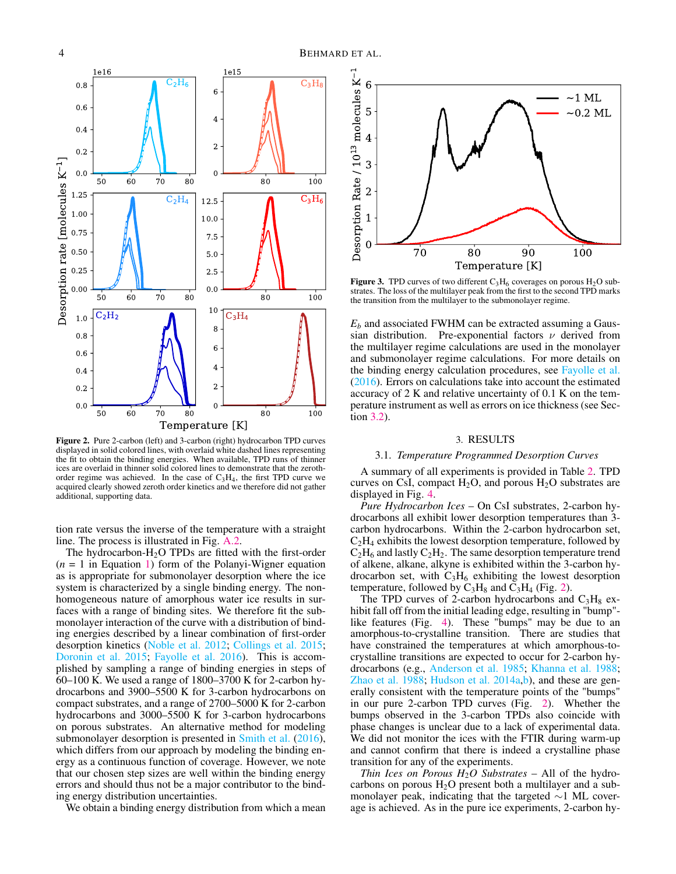

<span id="page-3-1"></span>Figure 2. Pure 2-carbon (left) and 3-carbon (right) hydrocarbon TPD curves displayed in solid colored lines, with overlaid white dashed lines representing the fit to obtain the binding energies. When available, TPD runs of thinner ices are overlaid in thinner solid colored lines to demonstrate that the zerothorder regime was achieved. In the case of  $C_3H_4$ , the first TPD curve we acquired clearly showed zeroth order kinetics and we therefore did not gather additional, supporting data.

tion rate versus the inverse of the temperature with a straight line. The process is illustrated in Fig. [A.2.](#page-10-9)

The hydrocarbon- $H_2O$  TPDs are fitted with the first-order (*n* = 1 in Equation [1\)](#page-2-1) form of the Polanyi-Wigner equation as is appropriate for submonolayer desorption where the ice system is characterized by a single binding energy. The nonhomogeneous nature of amorphous water ice results in surfaces with a range of binding sites. We therefore fit the submonolayer interaction of the curve with a distribution of binding energies described by a linear combination of first-order desorption kinetics [\(Noble et al.](#page-9-42) [2012;](#page-9-42) [Collings et al.](#page-9-43) [2015;](#page-9-43) [Doronin et al.](#page-9-40) [2015;](#page-9-40) [Fayolle et al.](#page-9-44) [2016\)](#page-9-44). This is accomplished by sampling a range of binding energies in steps of 60–100 K. We used a range of 1800–3700 K for 2-carbon hydrocarbons and 3900–5500 K for 3-carbon hydrocarbons on compact substrates, and a range of 2700–5000 K for 2-carbon hydrocarbons and 3000–5500 K for 3-carbon hydrocarbons on porous substrates. An alternative method for modeling submonolayer desorption is presented in [Smith et al.](#page-10-6) [\(2016\)](#page-10-6), which differs from our approach by modeling the binding energy as a continuous function of coverage. However, we note that our chosen step sizes are well within the binding energy errors and should thus not be a major contributor to the binding energy distribution uncertainties.

We obtain a binding energy distribution from which a mean



<span id="page-3-2"></span>**Figure 3.** TPD curves of two different  $C_3H_6$  coverages on porous  $H_2O$  substrates. The loss of the multilayer peak from the first to the second TPD marks the transition from the multilayer to the submonolayer regime.

*E<sup>b</sup>* and associated FWHM can be extracted assuming a Gaussian distribution. Pre-exponential factors  $\nu$  derived from the multilayer regime calculations are used in the monolayer and submonolayer regime calculations. For more details on the binding energy calculation procedures, see [Fayolle et al.](#page-9-44) [\(2016\)](#page-9-44). Errors on calculations take into account the estimated accuracy of 2 K and relative uncertainty of 0.1 K on the temperature instrument as well as errors on ice thickness (see Section [3.2\)](#page-4-0).

#### 3. RESULTS

## <span id="page-3-0"></span>3.1. *Temperature Programmed Desorption Curves*

A summary of all experiments is provided in Table [2.](#page-7-1) TPD curves on CsI, compact  $H_2O$ , and porous  $H_2O$  substrates are displayed in Fig. [4.](#page-4-1)

*Pure Hydrocarbon Ices* – On CsI substrates, 2-carbon hydrocarbons all exhibit lower desorption temperatures than 3 carbon hydrocarbons. Within the 2-carbon hydrocarbon set,  $C_2H_4$  exhibits the lowest desorption temperature, followed by  $C_2H_6$  and lastly  $C_2H_2$ . The same desorption temperature trend of alkene, alkane, alkyne is exhibited within the 3-carbon hydrocarbon set, with  $C_3H_6$  exhibiting the lowest desorption temperature, followed by  $C_3H_8$  and  $C_3H_4$  (Fig. [2\)](#page-3-1).

The TPD curves of 2-carbon hydrocarbons and  $C_3H_8$  exhibit fall off from the initial leading edge, resulting in "bump" like features (Fig. [4\)](#page-4-1). These "bumps" may be due to an amorphous-to-crystalline transition. There are studies that have constrained the temperatures at which amorphous-tocrystalline transitions are expected to occur for 2-carbon hydrocarbons (e.g., [Anderson et al.](#page-9-45) [1985;](#page-9-45) [Khanna et al.](#page-9-46) [1988;](#page-9-46) [Zhao et al.](#page-10-10) [1988;](#page-10-10) [Hudson et al.](#page-9-37) [2014a](#page-9-37)[,b\)](#page-9-38), and these are generally consistent with the temperature points of the "bumps" in our pure 2-carbon TPD curves (Fig. [2\)](#page-3-1). Whether the bumps observed in the 3-carbon TPDs also coincide with phase changes is unclear due to a lack of experimental data. We did not monitor the ices with the FTIR during warm-up and cannot confirm that there is indeed a crystalline phase transition for any of the experiments.

*Thin Ices on Porous*  $H_2O$  *Substrates* – All of the hydrocarbons on porous  $H_2O$  present both a multilayer and a submonolayer peak, indicating that the targeted ∼1 ML coverage is achieved. As in the pure ice experiments, 2-carbon hy-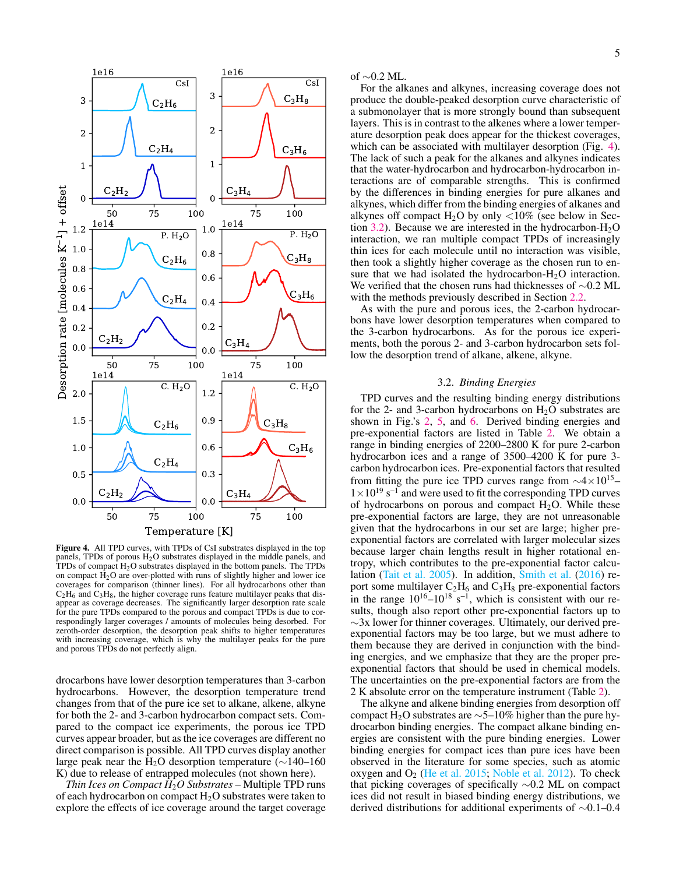

<span id="page-4-1"></span>Figure 4. All TPD curves, with TPDs of CsI substrates displayed in the top panels, TPDs of porous H<sub>2</sub>O substrates displayed in the middle panels, and TPDs of compact  $H_2O$  substrates displayed in the bottom panels. The TPDs on compact  $H_2O$  are over-plotted with runs of slightly higher and lower ice coverages for comparison (thinner lines). For all hydrocarbons other than  $C_2H_6$  and  $C_3H_8$ , the higher coverage runs feature multilayer peaks that disappear as coverage decreases. The significantly larger desorption rate scale for the pure TPDs compared to the porous and compact TPDs is due to correspondingly larger coverages / amounts of molecules being desorbed. For zeroth-order desorption, the desorption peak shifts to higher temperatures with increasing coverage, which is why the multilayer peaks for the pure and porous TPDs do not perfectly align.

drocarbons have lower desorption temperatures than 3-carbon hydrocarbons. However, the desorption temperature trend changes from that of the pure ice set to alkane, alkene, alkyne for both the 2- and 3-carbon hydrocarbon compact sets. Compared to the compact ice experiments, the porous ice TPD curves appear broader, but as the ice coverages are different no direct comparison is possible. All TPD curves display another large peak near the H<sub>2</sub>O desorption temperature ( $\sim$ 140–160 K) due to release of entrapped molecules (not shown here).

*Thin Ices on Compact H*2*O Substrates* – Multiple TPD runs of each hydrocarbon on compact  $H_2O$  substrates were taken to explore the effects of ice coverage around the target coverage of ∼0.2 ML.

For the alkanes and alkynes, increasing coverage does not produce the double-peaked desorption curve characteristic of a submonolayer that is more strongly bound than subsequent layers. This is in contrast to the alkenes where a lower temperature desorption peak does appear for the thickest coverages, which can be associated with multilayer desorption (Fig. [4\)](#page-4-1). The lack of such a peak for the alkanes and alkynes indicates that the water-hydrocarbon and hydrocarbon-hydrocarbon interactions are of comparable strengths. This is confirmed by the differences in binding energies for pure alkanes and alkynes, which differ from the binding energies of alkanes and alkynes off compact  $H_2O$  by only  $\langle 10\%$  (see below in Sec-tion [3.2\)](#page-4-0). Because we are interested in the hydrocarbon- $H_2O$ interaction, we ran multiple compact TPDs of increasingly thin ices for each molecule until no interaction was visible, then took a slightly higher coverage as the chosen run to ensure that we had isolated the hydrocarbon- $H_2O$  interaction. We verified that the chosen runs had thicknesses of ∼0.2 ML with the methods previously described in Section [2.2.](#page-1-2)

As with the pure and porous ices, the 2-carbon hydrocarbons have lower desorption temperatures when compared to the 3-carbon hydrocarbons. As for the porous ice experiments, both the porous 2- and 3-carbon hydrocarbon sets follow the desorption trend of alkane, alkene, alkyne.

# 3.2. *Binding Energies*

<span id="page-4-0"></span>TPD curves and the resulting binding energy distributions for the 2- and 3-carbon hydrocarbons on  $H_2O$  substrates are shown in Fig.'s [2,](#page-3-1) [5,](#page-5-1) and [6.](#page-6-0) Derived binding energies and pre-exponential factors are listed in Table [2.](#page-7-1) We obtain a range in binding energies of 2200–2800 K for pure 2-carbon hydrocarbon ices and a range of 3500–4200 K for pure 3 carbon hydrocarbon ices. Pre-exponential factors that resulted from fitting the pure ice TPD curves range from  $\sim 4 \times 10^{15}$ –  $1 \times 10^{19}$  s<sup>-1</sup> and were used to fit the corresponding TPD curves of hydrocarbons on porous and compact  $H_2O$ . While these pre-exponential factors are large, they are not unreasonable given that the hydrocarbons in our set are large; higher preexponential factors are correlated with larger molecular sizes because larger chain lengths result in higher rotational entropy, which contributes to the pre-exponential factor calculation [\(Tait et al.](#page-10-11) [2005\)](#page-10-11). In addition, [Smith et al.](#page-10-6) [\(2016\)](#page-10-6) report some multilayer  $C_2H_6$  and  $C_3H_8$  pre-exponential factors in the range  $10^{16} - 10^{18}$  s<sup>-1</sup>, which is consistent with our results, though also report other pre-exponential factors up to  $\sim$ 3x lower for thinner coverages. Ultimately, our derived preexponential factors may be too large, but we must adhere to them because they are derived in conjunction with the binding energies, and we emphasize that they are the proper preexponential factors that should be used in chemical models. The uncertainties on the pre-exponential factors are from the 2 K absolute error on the temperature instrument (Table [2\)](#page-7-1).

The alkyne and alkene binding energies from desorption off compact H<sub>2</sub>O substrates are ∼5–10% higher than the pure hydrocarbon binding energies. The compact alkane binding energies are consistent with the pure binding energies. Lower binding energies for compact ices than pure ices have been observed in the literature for some species, such as atomic oxygen and  $O_2$  [\(He et al.](#page-9-47) [2015;](#page-9-47) [Noble et al.](#page-9-42) [2012\)](#page-9-42). To check that picking coverages of specifically ∼0.2 ML on compact ices did not result in biased binding energy distributions, we derived distributions for additional experiments of ∼0.1–0.4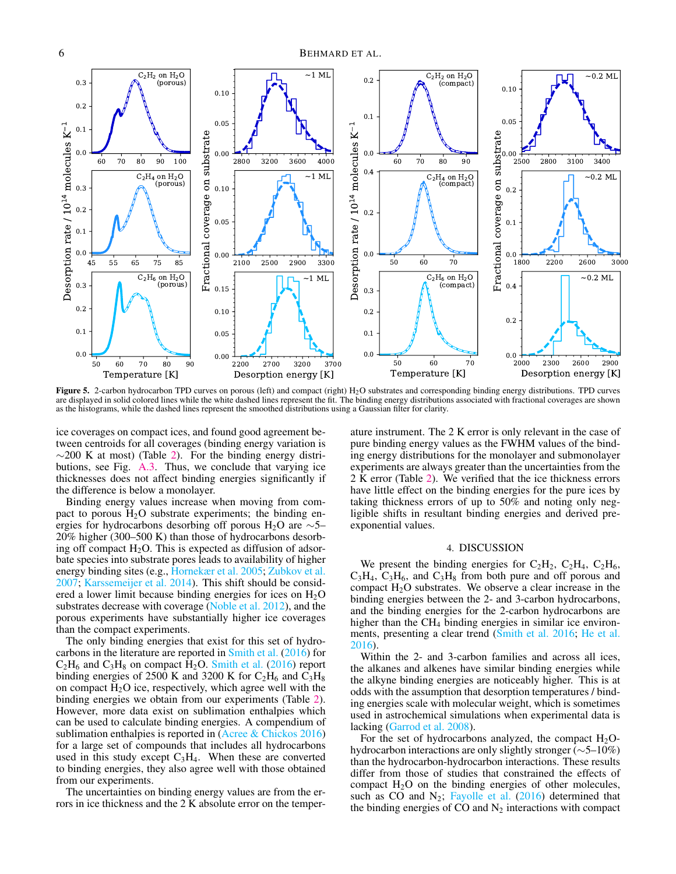

<span id="page-5-1"></span>Figure 5. 2-carbon hydrocarbon TPD curves on porous (left) and compact (right)  $H<sub>2</sub>O$  substrates and corresponding binding energy distributions. TPD curves are displayed in solid colored lines while the white dashed lines represent the fit. The binding energy distributions associated with fractional coverages are shown as the histograms, while the dashed lines represent the smoothed distributions using a Gaussian filter for clarity.

ice coverages on compact ices, and found good agreement between centroids for all coverages (binding energy variation is  $\sim$ 200 K at most) (Table [2\)](#page-7-1). For the binding energy distributions, see Fig. [A.3.](#page-11-0) Thus, we conclude that varying ice thicknesses does not affect binding energies significantly if the difference is below a monolayer.

Binding energy values increase when moving from compact to porous  $H_2O$  substrate experiments; the binding energies for hydrocarbons desorbing off porous H<sub>2</sub>O are  $\sim$ 5– 20% higher (300–500 K) than those of hydrocarbons desorbing off compact  $H_2O$ . This is expected as diffusion of adsorbate species into substrate pores leads to availability of higher energy binding sites (e.g., [Hornekær et al.](#page-9-48) [2005;](#page-9-48) [Zubkov et al.](#page-10-12) [2007;](#page-10-12) [Karssemeijer et al.](#page-9-49) [2014\)](#page-9-49). This shift should be considered a lower limit because binding energies for ices on  $H_2O$ substrates decrease with coverage [\(Noble et al.](#page-9-42) [2012\)](#page-9-42), and the porous experiments have substantially higher ice coverages than the compact experiments.

The only binding energies that exist for this set of hydrocarbons in the literature are reported in [Smith et al.](#page-10-6) [\(2016\)](#page-10-6) for  $C_2H_6$  and  $C_3H_8$  on compact  $H_2O$ . [Smith et al.](#page-10-6) [\(2016\)](#page-10-6) report binding energies of 2500 K and 3200 K for  $C_2H_6$  and  $C_3H_8$ on compact  $H_2O$  ice, respectively, which agree well with the binding energies we obtain from our experiments (Table [2\)](#page-7-1). However, more data exist on sublimation enthalpies which can be used to calculate binding energies. A compendium of sublimation enthalpies is reported in [\(Acree & Chickos](#page-9-50) [2016\)](#page-9-50) for a large set of compounds that includes all hydrocarbons used in this study except  $C_3H_4$ . When these are converted to binding energies, they also agree well with those obtained from our experiments.

The uncertainties on binding energy values are from the errors in ice thickness and the 2 K absolute error on the temper-

ature instrument. The 2 K error is only relevant in the case of pure binding energy values as the FWHM values of the binding energy distributions for the monolayer and submonolayer experiments are always greater than the uncertainties from the 2 K error (Table [2\)](#page-7-1). We verified that the ice thickness errors have little effect on the binding energies for the pure ices by taking thickness errors of up to 50% and noting only negligible shifts in resultant binding energies and derived preexponential values.

### 4. DISCUSSION

<span id="page-5-0"></span>We present the binding energies for  $C_2H_2$ ,  $C_2H_4$ ,  $C_2H_6$ ,  $C_3H_4$ ,  $C_3H_6$ , and  $C_3H_8$  from both pure and off porous and compact  $H_2O$  substrates. We observe a clear increase in the binding energies between the 2- and 3-carbon hydrocarbons, and the binding energies for the 2-carbon hydrocarbons are higher than the CH<sub>4</sub> binding energies in similar ice environments, presenting a clear trend [\(Smith et al.](#page-10-6) [2016;](#page-10-6) [He et al.](#page-9-24) [2016\)](#page-9-24).

Within the 2- and 3-carbon families and across all ices, the alkanes and alkenes have similar binding energies while the alkyne binding energies are noticeably higher. This is at odds with the assumption that desorption temperatures / binding energies scale with molecular weight, which is sometimes used in astrochemical simulations when experimental data is lacking [\(Garrod et al.](#page-9-51) [2008\)](#page-9-51).

For the set of hydrocarbons analyzed, the compact  $H_2O$ hydrocarbon interactions are only slightly stronger (∼5–10%) than the hydrocarbon-hydrocarbon interactions. These results differ from those of studies that constrained the effects of compact  $H_2O$  on the binding energies of other molecules, such as CO and  $N_2$ ; [Fayolle et al.](#page-9-44) [\(2016\)](#page-9-44) determined that the binding energies of CO and  $N_2$  interactions with compact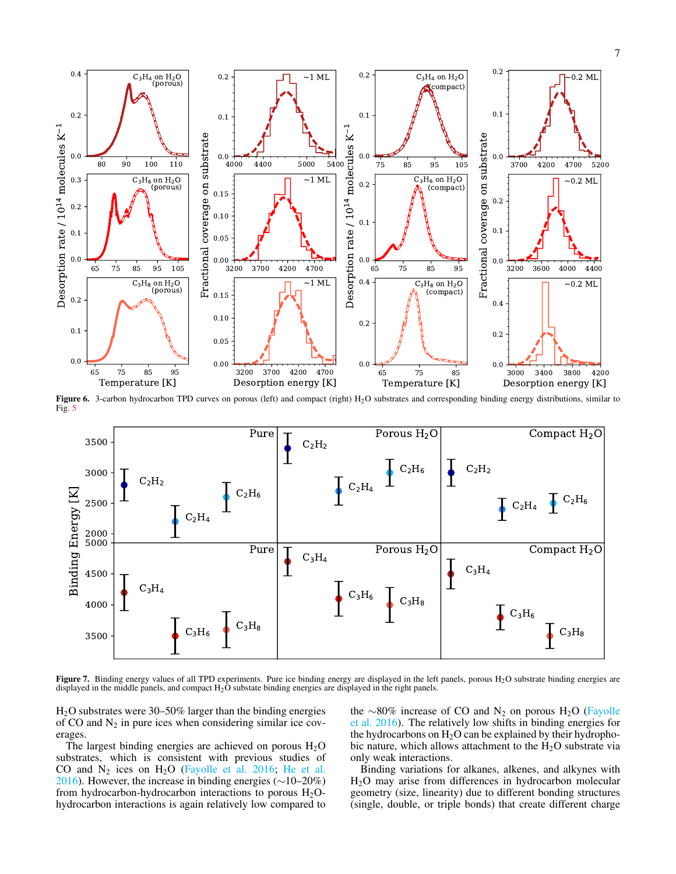

<span id="page-6-0"></span>Figure 6. 3-carbon hydrocarbon TPD curves on porous (left) and compact (right) H<sub>2</sub>O substrates and corresponding binding energy distributions, similar to Fig. [5](#page-5-1)



<span id="page-6-1"></span>Figure 7. Binding energy values of all TPD experiments. Pure ice binding energy are displayed in the left panels, porous H<sub>2</sub>O substrate binding energies are displayed in the middle panels, and compact H2O substate binding energies are displayed in the right panels.

H2O substrates were 30–50% larger than the binding energies of CO and  $N_2$  in pure ices when considering similar ice coverages.

The largest binding energies are achieved on porous  $H_2O$ substrates, which is consistent with previous studies of CO and  $N_2$  ices on  $H_2O$  [\(Fayolle et al.](#page-9-44) [2016;](#page-9-44) [He et al.](#page-9-24) [2016\)](#page-9-24). However, the increase in binding energies (∼10–20%) from hydrocarbon-hydrocarbon interactions to porous  $H_2O$ hydrocarbon interactions is again relatively low compared to

the ∼80% increase of CO and N<sub>2</sub> on porous H<sub>2</sub>O [\(Fayolle](#page-9-44) [et al.](#page-9-44) [2016\)](#page-9-44). The relatively low shifts in binding energies for the hydrocarbons on  $H_2O$  can be explained by their hydrophobic nature, which allows attachment to the  $H_2O$  substrate via only weak interactions.

Binding variations for alkanes, alkenes, and alkynes with H2O may arise from differences in hydrocarbon molecular geometry (size, linearity) due to different bonding structures (single, double, or triple bonds) that create different charge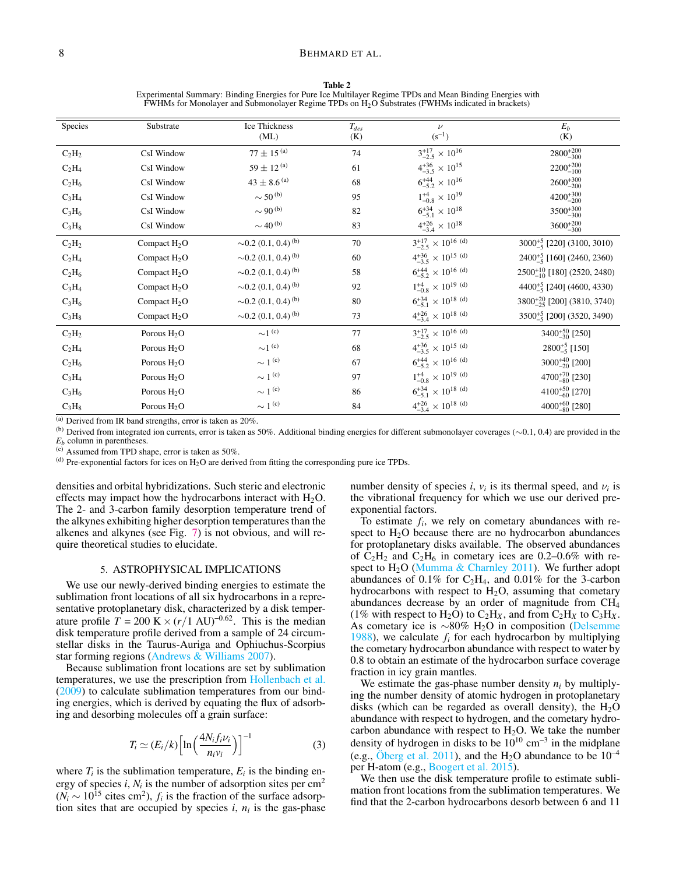<span id="page-7-1"></span>

Table 2 Experimental Summary: Binding Energies for Pure Ice Multilayer Regime TPDs and Mean Binding Energies with FWHMs for Monolayer and Submonolayer Regime TPDs on H2O Substrates (FWHMs indicated in brackets)

| Species  | Substrate      | Ice Thickness                        | $T_{des}$ | $\nu$                                   | $E_b$                                                           |
|----------|----------------|--------------------------------------|-----------|-----------------------------------------|-----------------------------------------------------------------|
|          |                | (ML)                                 | (K)       | $(s^{-1})$                              | (K)                                                             |
| $C_2H_2$ | CsI Window     | $77\pm15^{\,(a)}$                    | 74        | $3^{+17}_{-2.5} \times 10^{16}$         | $2800^{+200}_{-300}$                                            |
| $C_2H_4$ | CsI Window     | $59 \pm 12^{(a)}$                    | 61        | $4^{+36}_{-3.5} \times 10^{15}$         | $2200^{+200}_{-100}$                                            |
| $C_2H_6$ | CsI Window     | $43\pm8.6^{\,(a)}$                   | 68        | $6^{+44}_{-5.2} \times 10^{16}$         | $2600^{+300}_{-200}$                                            |
| $C_3H_4$ | CsI Window     | $\sim$ 50 $^{(b)}$                   | 95        | $1^{+4}_{-0.8} \times 10^{19}$          | $4200^{+300}_{-200}$                                            |
| $C_3H_6$ | CsI Window     | $\sim$ 90 $^{(b)}$                   | 82        | $6^{+34}_{-5.1} \times 10^{18}$         | $3500^{+300}_{-300}$                                            |
| $C_3H_8$ | CsI Window     | $\sim$ 40 <sup>(b)</sup>             | 83        | $4^{+26}_{-3.4} \times 10^{18}$         | $3600^{+200}_{-300}$                                            |
| $C_2H_2$ | Compact $H_2O$ | $\sim 0.2$ (0.1, 0.4) <sup>(b)</sup> | 70        | $3^{+17}_{-2.5}$ × 10 <sup>16 (d)</sup> | 3000 <sup>+5</sup> [220] (3100, 3010)                           |
| $C_2H_4$ | Compact $H_2O$ | $\sim 0.2$ (0.1, 0.4) <sup>(b)</sup> | 60        | $4^{+36}_{-3.5} \times 10^{15}$ (d)     | 2400 <sup>+5</sup> <sub>-5</sub> [160] (2460, 2360)             |
| $C_2H_6$ | Compact $H_2O$ | $\sim$ 0.2 (0.1, 0.4) <sup>(b)</sup> | 58        | $6^{+44}_{-5.2} \times 10^{16}$ (d)     | $2500^{+10}_{-10}$ [180] (2520, 2480)                           |
| $C_3H_4$ | Compact $H_2O$ | $\sim 0.2$ (0.1, 0.4) <sup>(b)</sup> | 92        | $1^{+4}_{-0.8}$ × 10 <sup>19 (d)</sup>  | 4400 <sup><math>+5</math></sup> <sub>5</sub> [240] (4600, 4330) |
| $C_3H_6$ | Compact $H_2O$ | $\sim$ 0.2 (0.1, 0.4) <sup>(b)</sup> | 80        | $6^{+34}_{-5.1} \times 10^{18}$ (d)     | 3800 <sup>+20</sup> <sub>-25</sub> [200] (3810, 3740)           |
| $C_3H_8$ | Compact $H_2O$ | $\sim$ 0.2 (0.1, 0.4) <sup>(b)</sup> | 73        | $4^{+26}_{-3,4} \times 10^{18}$ (d)     | 3500 <sup>+5</sup> <sub>5</sub> [200] (3520, 3490)              |
| $C_2H_2$ | Porous $H_2O$  | $\sim$ 1 $^{(c)}$                    | 77        | $3^{+17}_{-2.5}$ × 10 <sup>16 (d)</sup> | $3400^{+50}_{-30}$ [250]                                        |
| $C_2H_4$ | Porous $H_2O$  | $\sim$ 1 $^{(c)}$                    | 68        | $4^{+36}_{-3.5} \times 10^{15}$ (d)     | $2800^{+5}_{-5}$ [150]                                          |
| $C_2H_6$ | Porous $H_2O$  | $\sim 1(c)$                          | 67        | $6^{+44}_{-5.2} \times 10^{16}$ (d)     | $3000^{+40}_{-20}$ [200]                                        |
| $C_3H_4$ | Porous $H_2O$  | $\sim$ 1 <sup>(c)</sup>              | 97        | $1^{+4}_{-0.8}$ × 10 <sup>19 (d)</sup>  | 4700+70 [230]                                                   |
| $C_3H_6$ | Porous $H_2O$  | $\sim 1(c)$                          | 86        | $6^{+34}_{-5,1}$ × 10 <sup>18 (d)</sup> | 4100 <sup>+50</sup> <sub>-60</sub> [270]                        |
| $C_3H_8$ | Porous $H_2O$  | $\sim 1(c)$                          | 84        | $4^{+26}_{-3,4} \times 10^{18}$ (d)     | $4000^{+60}_{-80}$ [280]                                        |
|          |                |                                      |           |                                         |                                                                 |

(a) Derived from IR band strengths, error is taken as 20%.

(b) Derived from integrated ion currents, error is taken as 50%. Additional binding energies for different submonolayer coverages ( $\sim$ 0.1, 0.4) are provided in the

*E<sup>b</sup>* column in parentheses.

(c) Assumed from TPD shape, error is taken as 50%.

 $^{(d)}$  Pre-exponential factors for ices on H<sub>2</sub>O are derived from fitting the corresponding pure ice TPDs.

densities and orbital hybridizations. Such steric and electronic effects may impact how the hydrocarbons interact with  $H_2O$ . The 2- and 3-carbon family desorption temperature trend of the alkynes exhibiting higher desorption temperatures than the alkenes and alkynes (see Fig. [7\)](#page-6-1) is not obvious, and will require theoretical studies to elucidate.

# 5. ASTROPHYSICAL IMPLICATIONS

<span id="page-7-0"></span>We use our newly-derived binding energies to estimate the sublimation front locations of all six hydrocarbons in a representative protoplanetary disk, characterized by a disk temperature profile  $T = 200 \text{ K} \times (r/1 \text{ AU})^{-0.62}$ . This is the median disk temperature profile derived from a sample of 24 circumstellar disks in the Taurus-Auriga and Ophiuchus-Scorpius star forming regions [\(Andrews & Williams](#page-9-52) [2007\)](#page-9-52).

Because sublimation front locations are set by sublimation temperatures, we use the prescription from [Hollenbach et al.](#page-9-23) [\(2009\)](#page-9-23) to calculate sublimation temperatures from our binding energies, which is derived by equating the flux of adsorbing and desorbing molecules off a grain surface:

$$
T_i \simeq (E_i/k) \left[ \ln \left( \frac{4N_i f_i \nu_i}{n_i \nu_i} \right) \right]^{-1} \tag{3}
$$

where  $T_i$  is the sublimation temperature,  $E_i$  is the binding energy of species  $i$ ,  $N_i$  is the number of adsorption sites per cm<sup>2</sup>  $(N_i \sim 10^{15} \text{ cities cm}^2)$ ,  $f_i$  is the fraction of the surface adsorption sites that are occupied by species  $i$ ,  $n_i$  is the gas-phase

number density of species *i*,  $v_i$  is its thermal speed, and  $v_i$  is the vibrational frequency for which we use our derived preexponential factors.

To estimate *f<sup>i</sup>* , we rely on cometary abundances with respect to  $H_2O$  because there are no hydrocarbon abundances for protoplanetary disks available. The observed abundances of  $C_2H_2$  and  $C_2H_6$  in cometary ices are 0.2–0.6% with respect to  $H_2O$  [\(Mumma & Charnley](#page-9-53) [2011\)](#page-9-53). We further adopt abundances of  $0.1\%$  for C<sub>2</sub>H<sub>4</sub>, and  $0.01\%$  for the 3-carbon hydrocarbons with respect to  $H_2O$ , assuming that cometary abundances decrease by an order of magnitude from  $CH<sub>4</sub>$ (1% with respect to  $H_2O$ ) to  $C_2H_X$ , and from  $C_2H_X$  to  $C_3H_X$ . As cometary ice is  $\sim 80\%$  H<sub>2</sub>O in composition [\(Delsemme](#page-9-54) [1988\)](#page-9-54), we calculate  $f_i$  for each hydrocarbon by multiplying the cometary hydrocarbon abundance with respect to water by 0.8 to obtain an estimate of the hydrocarbon surface coverage fraction in icy grain mantles.

We estimate the gas-phase number density  $n_i$  by multiplying the number density of atomic hydrogen in protoplanetary disks (which can be regarded as overall density), the  $H_2O$ abundance with respect to hydrogen, and the cometary hydrocarbon abundance with respect to  $H_2O$ . We take the number density of hydrogen in disks to be  $10^{10}$  cm<sup>-3</sup> in the midplane (e.g., [Öberg et al.](#page-9-55) [2011\)](#page-9-55), and the H<sub>2</sub>O abundance to be  $10^{-4}$ per H-atom (e.g., [Boogert et al.](#page-9-27) [2015\)](#page-9-27).

We then use the disk temperature profile to estimate sublimation front locations from the sublimation temperatures. We find that the 2-carbon hydrocarbons desorb between 6 and 11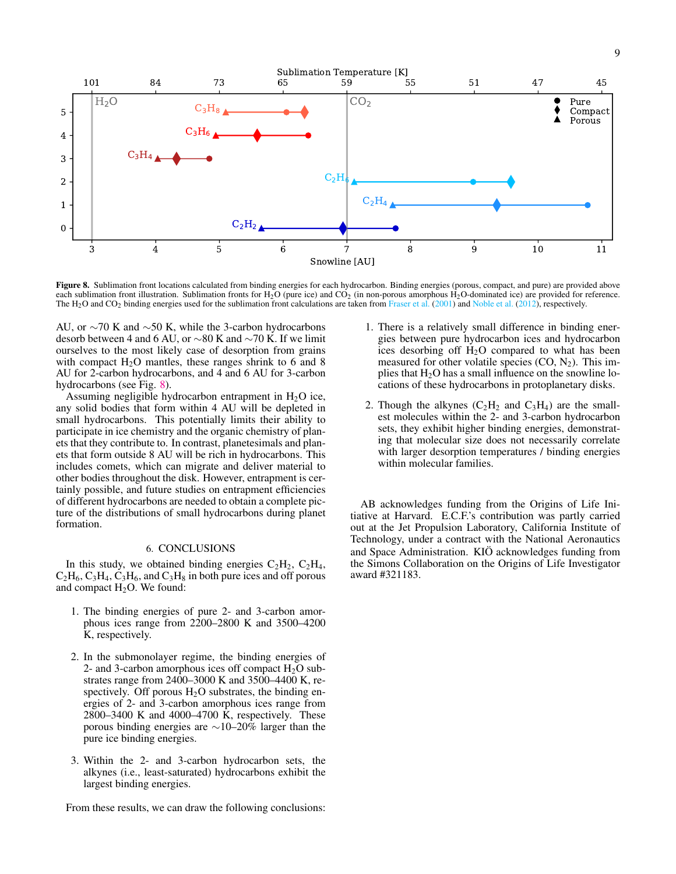

<span id="page-8-0"></span>Figure 8. Sublimation front locations calculated from binding energies for each hydrocarbon. Binding energies (porous, compact, and pure) are provided above each sublimation front illustration. Sublimation fronts for  $H_2O$  (pure ice) and  $CO<sub>2</sub>$  (in non-porous amorphous  $H_2O$ -dominated ice) are provided for reference. The H<sub>2</sub>O and CO<sub>2</sub> binding energies used for the sublimation front calculations are taken from [Fraser et al.](#page-9-56) [\(2001\)](#page-9-56) and [Noble et al.](#page-9-42) [\(2012\)](#page-9-42), respectively.

AU, or ∼70 K and ∼50 K, while the 3-carbon hydrocarbons desorb between 4 and 6 AU, or ∼80 K and ∼70 K. If we limit ourselves to the most likely case of desorption from grains with compact  $H_2O$  mantles, these ranges shrink to 6 and 8 AU for 2-carbon hydrocarbons, and 4 and 6 AU for 3-carbon hydrocarbons (see Fig. [8\)](#page-8-0).

Assuming negligible hydrocarbon entrapment in  $H_2O$  ice, any solid bodies that form within 4 AU will be depleted in small hydrocarbons. This potentially limits their ability to participate in ice chemistry and the organic chemistry of planets that they contribute to. In contrast, planetesimals and planets that form outside 8 AU will be rich in hydrocarbons. This includes comets, which can migrate and deliver material to other bodies throughout the disk. However, entrapment is certainly possible, and future studies on entrapment efficiencies of different hydrocarbons are needed to obtain a complete picture of the distributions of small hydrocarbons during planet formation.

# 6. CONCLUSIONS

In this study, we obtained binding energies  $C_2H_2$ ,  $C_2H_4$ ,  $C_2H_6$ ,  $C_3H_4$ ,  $C_3H_6$ , and  $C_3H_8$  in both pure ices and off porous and compact  $H_2O$ . We found:

- 1. The binding energies of pure 2- and 3-carbon amorphous ices range from 2200–2800 K and 3500–4200 K, respectively.
- 2. In the submonolayer regime, the binding energies of 2- and 3-carbon amorphous ices off compact  $H_2O$  substrates range from  $2400-3000$  K and  $3500-4400$  K, respectively. Off porous  $H_2O$  substrates, the binding energies of 2- and 3-carbon amorphous ices range from 2800–3400 K and 4000–4700 K, respectively. These porous binding energies are ∼10–20% larger than the pure ice binding energies.
- 3. Within the 2- and 3-carbon hydrocarbon sets, the alkynes (i.e., least-saturated) hydrocarbons exhibit the largest binding energies.

From these results, we can draw the following conclusions:

- 1. There is a relatively small difference in binding energies between pure hydrocarbon ices and hydrocarbon ices desorbing off  $H<sub>2</sub>O$  compared to what has been measured for other volatile species  $(CO, N<sub>2</sub>)$ . This implies that  $H_2O$  has a small influence on the snowline locations of these hydrocarbons in protoplanetary disks.
- 2. Though the alkynes  $(C_2H_2$  and  $C_3H_4$ ) are the smallest molecules within the 2- and 3-carbon hydrocarbon sets, they exhibit higher binding energies, demonstrating that molecular size does not necessarily correlate with larger desorption temperatures / binding energies within molecular families.

AB acknowledges funding from the Origins of Life Initiative at Harvard. E.C.F.'s contribution was partly carried out at the Jet Propulsion Laboratory, California Institute of Technology, under a contract with the National Aeronautics and Space Administration. KIÖ acknowledges funding from the Simons Collaboration on the Origins of Life Investigator award #321183.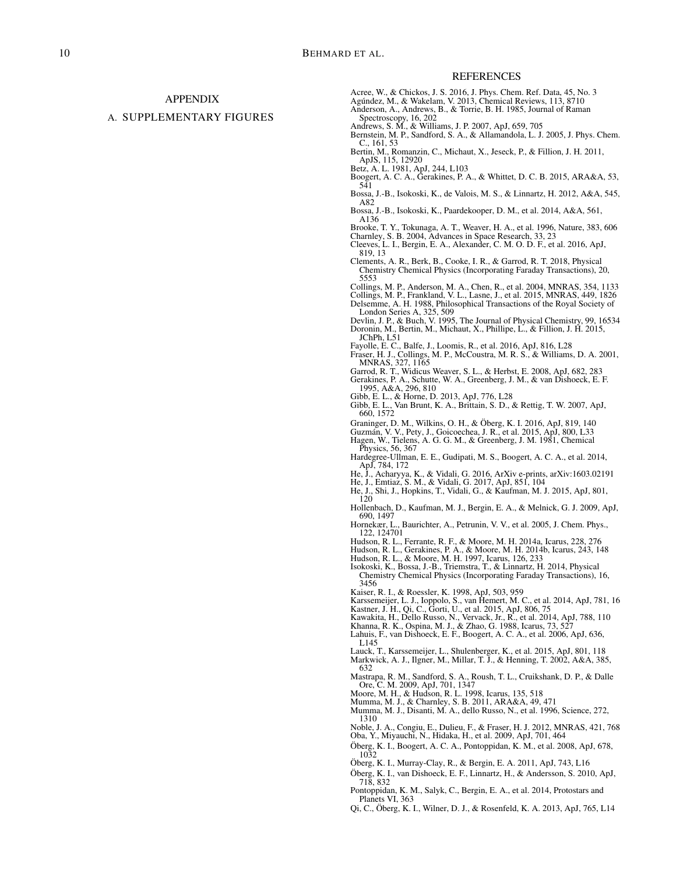# APPENDIX

## A. SUPPLEMENTARY FIGURES

#### REFERENCES

- <span id="page-9-50"></span>Acree, W., & Chickos, J. S. 2016, J. Phys. Chem. Ref. Data, 45, No. 3
- <span id="page-9-14"></span>Agúndez, M., & Wakelam, V. 2013, Chemical Reviews, 113, 8710
- <span id="page-9-45"></span>Anderson, A., Andrews, B., & Torrie, B. H. 1985, Journal of Raman
- <span id="page-9-52"></span>Spectroscopy, 16, 202 Andrews, S. M., & Williams, J. P. 2007, ApJ, 659, 705
- <span id="page-9-20"></span>Bernstein, M. P., Sandford, S. A., & Allamandola, L. J. 2005, J. Phys. Chem. C., 161, 53
- <span id="page-9-41"></span>Bertin, M., Romanzin, C., Michaut, X., Jeseck, P., & Fillion, J. H. 2011, ApJS, 115, 12920
- <span id="page-9-0"></span>Betz, A. L. 1981, ApJ, 244, L103
- <span id="page-9-27"></span>Boogert, A. C. A., Gerakines, P. A., & Whittet, D. C. B. 2015, ARA&A, 53, 541
- <span id="page-9-31"></span>Bossa, J.-B., Isokoski, K., de Valois, M. S., & Linnartz, H. 2012, A&A, 545, A82
- <span id="page-9-35"></span>Bossa, J.-B., Isokoski, K., Paardekooper, D. M., et al. 2014, A&A, 561, A136

<span id="page-9-5"></span>Brooke, T. Y., Tokunaga, A. T., Weaver, H. A., et al. 1996, Nature, 383, 606 Charnley, S. B. 2004, Advances in Space Research, 33, 23

- <span id="page-9-22"></span><span id="page-9-17"></span>Cleeves, L. I., Bergin, E. A., Alexander, C. M. O. D. F., et al. 2016, ApJ, 819, 13
- <span id="page-9-32"></span>Clements, A. R., Berk, B., Cooke, I. R., & Garrod, R. T. 2018, Physical Chemistry Chemical Physics (Incorporating Faraday Transactions), 20, 5553
- <span id="page-9-43"></span><span id="page-9-26"></span>Collings, M. P., Anderson, M. A., Chen, R., et al. 2004, MNRAS, 354, 1133 Collings, M. P., Frankland, V. L., Lasne, J., et al. 2015, MNRAS, 449, 1826
- <span id="page-9-54"></span>Delsemme, A. H. 1988, Philosophical Transactions of the Royal Society of London Series A, 325, 509
- <span id="page-9-40"></span><span id="page-9-33"></span>Devlin, J. P., & Buch, V. 1995, The Journal of Physical Chemistry, 99, 16534 Doronin, M., Bertin, M., Michaut, X., Phillipe, L., & Fillion, J. H. 2015, JChPh, L51
- <span id="page-9-44"></span>Fayolle, E. C., Balfe, J., Loomis, R., et al. 2016, ApJ, 816, L28
- <span id="page-9-56"></span>Fraser, H. J., Collings, M. P., McCoustra, M. R. S., & Williams, D. A. 2001,
- <span id="page-9-51"></span><span id="page-9-39"></span>MNRAS, 327, 1165 Garrod, R. T., Widicus Weaver, S. L., & Herbst, E. 2008, ApJ, 682, 283 Gerakines, P. A., Schutte, W. A., Greenberg, J. M., & van Dishoeck, E. F. 1995, A&A, 296, 810
- <span id="page-9-11"></span>
- <span id="page-9-9"></span>Gibb, E. L., & Horne, D. 2013, ApJ, 776, L28 Gibb, E. L., Van Brunt, K. A., Brittain, S. D., & Rettig, T. W. 2007, ApJ, 660, 1572
- <span id="page-9-18"></span><span id="page-9-3"></span>
- <span id="page-9-29"></span>
- Graninger, D. M., Wilkins, O. H., & Öberg, K. I. 2016, ApJ, 819, 140 Guzmán, V. V., Pety, J., Goicoechea, J. R., et al. 2015, ApJ, 800, L33 Hagen, W., Tielens, A. G. G. M., & Greenberg, J. M. 1981, Chemical Physics, 56, 367
- <span id="page-9-21"></span>Hardegree-Ullman, E. E., Gudipati, M. S., Boogert, A. C. A., et al. 2014, ApJ, 784, 172
- <span id="page-9-24"></span>He, J., Acharyya, K., & Vidali, G. 2016, ArXiv e-prints, arXiv:1603.02191 He, J., Emtiaz, S. M., & Vidali, G. 2017, ApJ, 851, 104
- <span id="page-9-25"></span>
- <span id="page-9-47"></span>He, J., Shi, J., Hopkins, T., Vidali, G., & Kaufman, M. J. 2015, ApJ, 801, 120
- <span id="page-9-23"></span>Hollenbach, D., Kaufman, M. J., Bergin, E. A., & Melnick, G. J. 2009, ApJ, 690, 1497
- <span id="page-9-48"></span>Hornekær, L., Baurichter, A., Petrunin, V. V., et al. 2005, J. Chem. Phys., 122, 124701
- <span id="page-9-37"></span>Hudson, R. L., Ferrante, R. F., & Moore, M. H. 2014a, Icarus, 228, 276
- <span id="page-9-38"></span>Hudson, R. L., Gerakines, P. A., & Moore, M. H. 2014b, Icarus, 243, 148 Hudson, R. L., & Moore, M. H. 1997, Icarus, 126, 233
- <span id="page-9-6"></span>
- <span id="page-9-34"></span>Isokoski, K., Bossa, J.-B., Triemstra, T., & Linnartz, H. 2014, Physical Chemistry Chemical Physics (Incorporating Faraday Transactions), 16, 3456
- <span id="page-9-19"></span>Kaiser, R. I., & Roessler, K. 1998, ApJ, 503, 959
- <span id="page-9-49"></span><span id="page-9-12"></span>Karssemeijer, L. J., Ioppolo, S., van Hemert, M. C., et al. 2014, ApJ, 781, 16 Kastner, J. H., Qi, C., Gorti, U., et al. 2015, ApJ, 806, 75
- 
- <span id="page-9-46"></span><span id="page-9-7"></span>Kawakita, H., Dello Russo, N., Vervack, Jr., R., et al. 2014, ApJ, 788, 110 Khanna, R. K., Ospina, M. J., & Zhao, G. 1988, Icarus, 73, 527
- <span id="page-9-8"></span>Lahuis, F., van Dishoeck, E. F., Boogert, A. C. A., et al. 2006, ApJ, 636, L145
- 
- <span id="page-9-28"></span><span id="page-9-13"></span>Lauck, T., Karssemeijer, L., Shulenberger, K., et al. 2015, ApJ, 801, 118 Markwick, A. J., Ilgner, M., Millar, T. J., & Henning, T. 2002, A&A, 385, 632
- <span id="page-9-36"></span>Mastrapa, R. M., Sandford, S. A., Roush, T. L., Cruikshank, D. P., & Dalle Ore, C. M. 2009, ApJ, 701, 1347
- <span id="page-9-15"></span>Moore, M. H., & Hudson, R. L. 1998, Icarus, 135, 518
- 
- <span id="page-9-53"></span><span id="page-9-4"></span>Mumma, M. J., & Charnley, S. B. 2011, ARA&A, 49, 471 Mumma, M. J., Disanti, M. A., dello Russo, N., et al. 1996, Science, 272, 1310
- <span id="page-9-42"></span>Noble, J. A., Congiu, E., Dulieu, F., & Fraser, H. J. 2012, MNRAS, 421, 768
- <span id="page-9-30"></span>Oba, Y., Miyauchi, N., Hidaka, H., et al. 2009, ApJ, 701, 464
- <span id="page-9-1"></span>Öberg, K. I., Boogert, A. C. A., Pontoppidan, K. M., et al. 2008, ApJ, 678, 1032
- <span id="page-9-55"></span>Öberg, K. I., Murray-Clay, R., & Bergin, E. A. 2011, ApJ, 743, L16
- <span id="page-9-16"></span>Öberg, K. I., van Dishoeck, E. F., Linnartz, H., & Andersson, S. 2010, ApJ, 718, 832
- <span id="page-9-2"></span>Pontoppidan, K. M., Salyk, C., Bergin, E. A., et al. 2014, Protostars and Planets VI, 363
- <span id="page-9-10"></span>Qi, C., Öberg, K. I., Wilner, D. J., & Rosenfeld, K. A. 2013, ApJ, 765, L14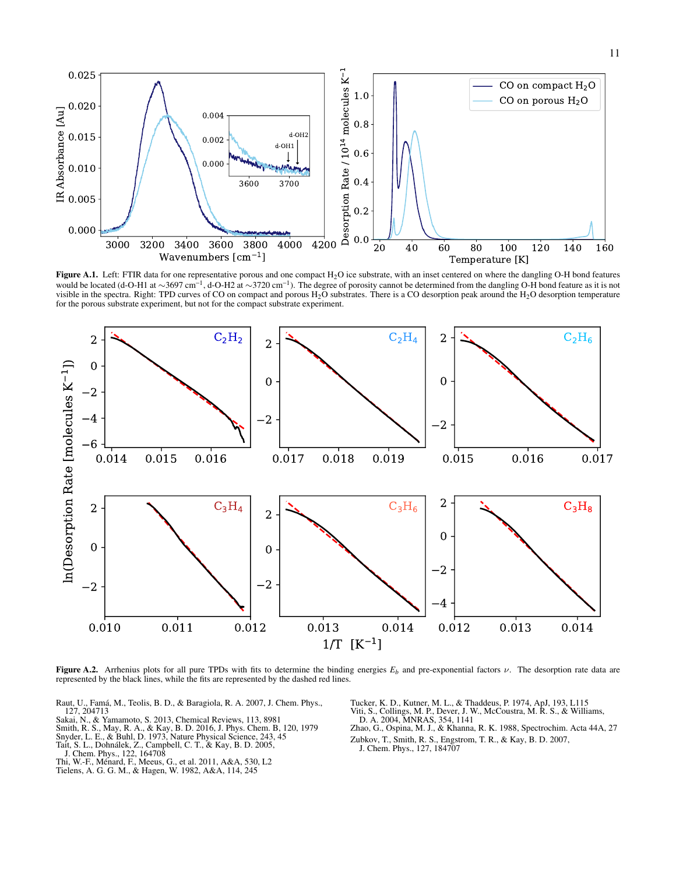

<span id="page-10-7"></span>Figure A.1. Left: FTIR data for one representative porous and one compact  $H_2O$  ice substrate, with an inset centered on where the dangling O-H bond features would be located (d-O-H1 at ∼3697 cm<sup>-1</sup>, d-O-H2 at ∼3720 cm<sup>-1</sup>). The degree of porosity cannot be determined from the dangling O-H bond feature as it is not visible in the spectra. Right: TPD curves of CO on compact and porous  $H_2O$  substrates. There is a CO desorption peak around the  $H_2O$  desorption temperature for the porous substrate experiment, but not for the compact substrate experiment.



<span id="page-10-9"></span>Figure A.2. Arrhenius plots for all pure TPDs with fits to determine the binding energies  $E_b$  and pre-exponential factors  $\nu$ . The desorption rate data are represented by the black lines, while the fits are represented by the dashed red lines.

- <span id="page-10-8"></span>Raut, U., Famá, M., Teolis, B. D., & Baragiola, R. A. 2007, J. Chem. Phys., 127, 204713
- <span id="page-10-4"></span>Sakai, N., & Yamamoto, S. 2013, Chemical Reviews, 113, 8981
- <span id="page-10-6"></span>Smith, R. S., May, R. A., & Kay, B. D. 2016, J. Phys. Chem. B, 120, 1979<br>Snyder, L. E., & Buhl, D. 1973, Nature Physical Science, 243, 45<br>Tait, S. L., Dohnálek, Z., Campbell, C. T., & Kay, B. D. 2005,<br>J. Chem. Phys., 122,
- <span id="page-10-2"></span>
- <span id="page-10-11"></span>
- 
- <span id="page-10-3"></span><span id="page-10-1"></span>
- 

<span id="page-10-5"></span><span id="page-10-0"></span>Tucker, K. D., Kutner, M. L., & Thaddeus, P. 1974, ApJ, 193, L115 Viti, S., Collings, M. P., Dever, J. W., McCoustra, M. R. S., & Williams, D. A. 2004, MNRAS, 354, 1141

<span id="page-10-12"></span><span id="page-10-10"></span>Zhao, G., Ospina, M. J., & Khanna, R. K. 1988, Spectrochim. Acta 44A, 27 Zubkov, T., Smith, R. S., Engstrom, T. R., & Kay, B. D. 2007, J. Chem. Phys., 127, 184707